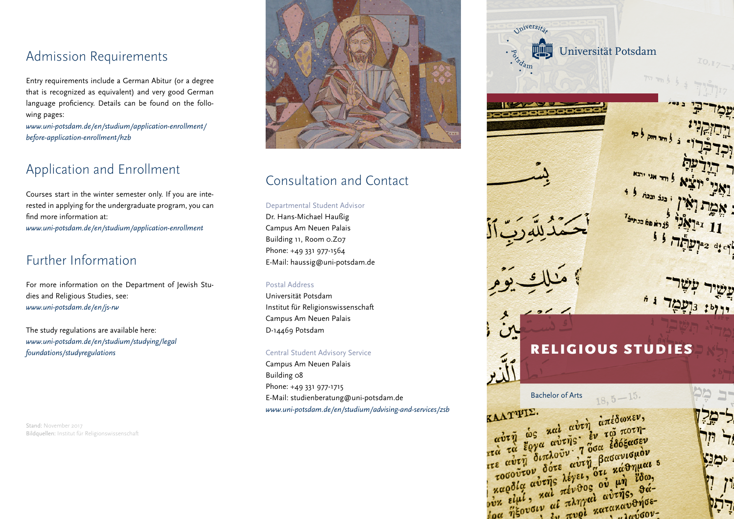## Admission Requirements

Entry requirements include a German Abitur (or a degree that is recognized as equivalent) and very good German language proficiency. Details can be found on the following pages:

*[www.uni-potsdam.de/en/studium/application-enrollment/](http://www.uni-potsdam.de/en/studium/application-enrollment/before-application-enrollment/hzb) before-application-enrollment/hzb* 

# Application and Enrollment

Courses start in the winter semester only. If you are interested in applying for the undergraduate program, you can find more information at: *www.uni-potsdam.de/en/studium/application-enrollment*

## Further Information

For more information on the Department of Jewish Studies and Religious Studies, see: *www.uni-potsdam.de/en/js-rw*

The study regulations are available here: *[www.uni-potsdam.de/en/studium/studying/legal](http://www.uni-potsdam.de/en/studium/studying/legalfoundations/studyregulations) foundations/studyregulations*

Stand: November 2017 Bildquellen: Institut für Religionswissenschaft



# Consultation and Contact

#### Departmental Student Advisor

Dr. Hans-Michael Haußig Campus Am Neuen Palais Building 11, Room 0.Z07 Phone: +49 331 977-1564 E-Mail: haussig@uni-potsdam.de

#### Postal Address

Universität Potsdam Institut für Religionswissenschaft Campus Am Neuen Palais D-14469 Potsdam

#### Central Student Advisory Service

Campus Am Neuen Palais Building 08 Phone: +49 331 977-1715 E-Mail: studienberatung@uni-potsdam.de *www.uni-potsdam.de/en/studium/advising-and-services/zsb*